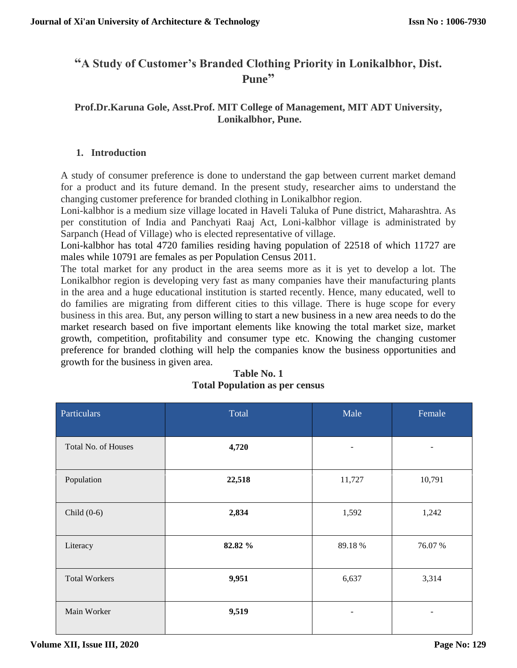# **"A Study of Customer's Branded Clothing Priority in Lonikalbhor, Dist. Pune"**

## **Prof.Dr.Karuna Gole, Asst.Prof. MIT College of Management, MIT ADT University, Lonikalbhor, Pune.**

## **1. Introduction**

A study of consumer preference is done to understand the gap between current market demand for a product and its future demand. In the present study, researcher aims to understand the changing customer preference for branded clothing in Lonikalbhor region.

Loni-kalbhor is a medium size village located in Haveli Taluka of Pune district, Maharashtra. As per constitution of India and Panchyati Raaj Act, Loni-kalbhor village is administrated by Sarpanch (Head of Village) who is elected representative of village.

Loni-kalbhor has total 4720 families residing having population of 22518 of which 11727 are males while 10791 are females as per Population Census 2011.

The total market for any product in the area seems more as it is yet to develop a lot. The Lonikalbhor region is developing very fast as many companies have their manufacturing plants in the area and a huge educational institution is started recently. Hence, many educated, well to do families are migrating from different cities to this village. There is huge scope for every business in this area. But, any person willing to start a new business in a new area needs to do the market research based on five important elements like knowing the total market size, market growth, competition, profitability and consumer type etc. Knowing the changing customer preference for branded clothing will help the companies know the business opportunities and growth for the business in given area.

| Particulars          | Total   | Male                     | Female |
|----------------------|---------|--------------------------|--------|
| Total No. of Houses  | 4,720   |                          |        |
| Population           | 22,518  | 11,727                   | 10,791 |
| Child $(0-6)$        | 2,834   | 1,592                    | 1,242  |
| Literacy             | 82.82 % | 89.18%                   | 76.07% |
| <b>Total Workers</b> | 9,951   | 6,637                    | 3,314  |
| Main Worker          | 9,519   | $\overline{\phantom{a}}$ | -      |

| Table No. 1                           |  |
|---------------------------------------|--|
| <b>Total Population as per census</b> |  |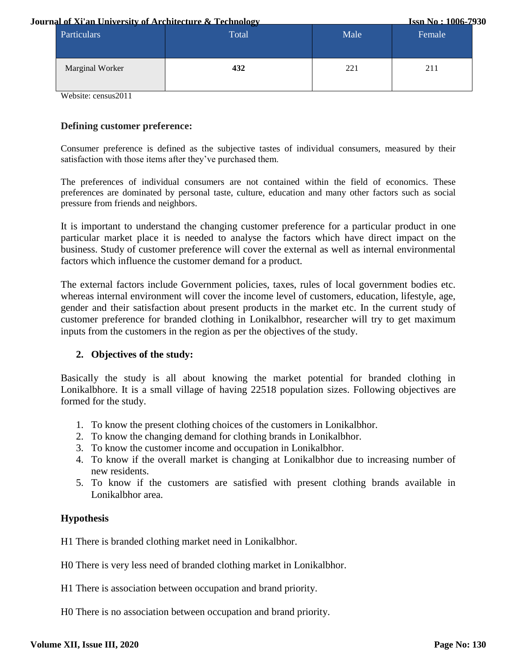#### **Journal of Xi'an University of Architecture & Technology**

**Issn No : 1006-7930**

| Particulars     | --<br>Total | Male | Female |
|-----------------|-------------|------|--------|
| Marginal Worker | 432         | 221  | 211    |

Website: census2011

#### **Defining customer preference:**

Consumer preference is defined as the subjective tastes of individual consumers, measured by their satisfaction with those items after they've purchased them.

The preferences of individual consumers are not contained within the field of economics. These preferences are dominated by personal taste, culture, education and many other factors such as social pressure from friends and neighbors.

It is important to understand the changing customer preference for a particular product in one particular market place it is needed to analyse the factors which have direct impact on the business. Study of customer preference will cover the external as well as internal environmental factors which influence the customer demand for a product.

The external factors include Government policies, taxes, rules of local government bodies etc. whereas internal environment will cover the income level of customers, education, lifestyle, age, gender and their satisfaction about present products in the market etc. In the current study of customer preference for branded clothing in Lonikalbhor, researcher will try to get maximum inputs from the customers in the region as per the objectives of the study.

#### **2. Objectives of the study:**

Basically the study is all about knowing the market potential for branded clothing in Lonikalbhore. It is a small village of having 22518 population sizes. Following objectives are formed for the study.

- 1. To know the present clothing choices of the customers in Lonikalbhor.
- 2. To know the changing demand for clothing brands in Lonikalbhor.
- 3. To know the customer income and occupation in Lonikalbhor.
- 4. To know if the overall market is changing at Lonikalbhor due to increasing number of new residents.
- 5. To know if the customers are satisfied with present clothing brands available in Lonikalbhor area.

#### **Hypothesis**

H1 There is branded clothing market need in Lonikalbhor.

- H0 There is very less need of branded clothing market in Lonikalbhor.
- H1 There is association between occupation and brand priority.
- H0 There is no association between occupation and brand priority.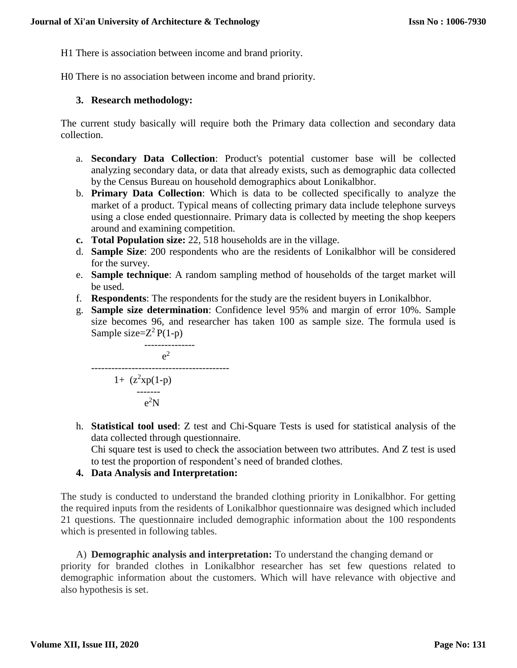H1 There is association between income and brand priority.

H0 There is no association between income and brand priority.

## **3. Research methodology:**

The current study basically will require both the Primary data collection and secondary data collection.

- a. **Secondary Data Collection**: Product's potential customer base will be collected analyzing secondary data, or data that already exists, such as demographic data collected by the Census Bureau on household demographics about Lonikalbhor.
- b. **Primary Data Collection**: Which is data to be collected specifically to analyze the market of a product. Typical means of collecting primary data include telephone surveys using a close ended questionnaire. Primary data is collected by meeting the shop keepers around and examining competition.
- **c. Total Population size:** 22, 518 households are in the village.
- d. **Sample Size**: 200 respondents who are the residents of Lonikalbhor will be considered for the survey.
- e. **Sample technique**: A random sampling method of households of the target market will be used.
- f. **Respondents**: The respondents for the study are the resident buyers in Lonikalbhor.
- g. **Sample size determination**: Confidence level 95% and margin of error 10%. Sample size becomes 96, and researcher has taken 100 as sample size. The formula used is Sample size= $Z^2P(1-p)$

$$
e^{2}
$$
\n
$$
e^{2}
$$
\n
$$
1 + (z^{2}xp(1-p)
$$
\n
$$
e^{2}
$$
\n
$$
e^{2}N
$$

h. **Statistical tool used**: Z test and Chi-Square Tests is used for statistical analysis of the data collected through questionnaire.

Chi square test is used to check the association between two attributes. And Z test is used to test the proportion of respondent's need of branded clothes.

**4. Data Analysis and Interpretation:**

The study is conducted to understand the branded clothing priority in Lonikalbhor. For getting the required inputs from the residents of Lonikalbhor questionnaire was designed which included 21 questions. The questionnaire included demographic information about the 100 respondents which is presented in following tables.

A) **Demographic analysis and interpretation:** To understand the changing demand or priority for branded clothes in Lonikalbhor researcher has set few questions related to demographic information about the customers. Which will have relevance with objective and also hypothesis is set.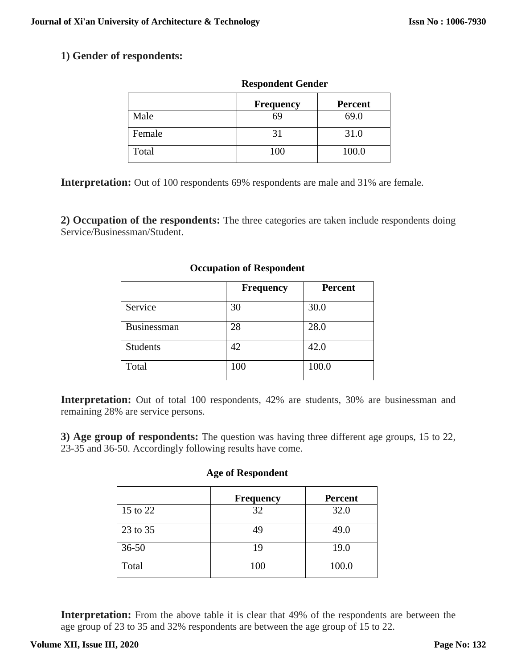## **1) Gender of respondents:**

|        | <b>Frequency</b> | <b>Percent</b> |
|--------|------------------|----------------|
| Male   | 69               | 69.0           |
| Female | 31               | 31.0           |
| Total  | 100              | 100.0          |

**Respondent Gender**

**Interpretation:** Out of 100 respondents 69% respondents are male and 31% are female.

**2) Occupation of the respondents:** The three categories are taken include respondents doing Service/Businessman/Student.

|                 | <b>Frequency</b> | <b>Percent</b> |
|-----------------|------------------|----------------|
| Service         | 30               | 30.0           |
| Businessman     | 28               | 28.0           |
| <b>Students</b> | 42               | 42.0           |
| Total           | 100              | 100.0          |

#### **Occupation of Respondent**

Interpretation: Out of total 100 respondents, 42% are students, 30% are businessman and remaining 28% are service persons.

**3) Age group of respondents:** The question was having three different age groups, 15 to 22, 23-35 and 36-50. Accordingly following results have come.

#### **Age of Respondent**

|           | <b>Frequency</b> | <b>Percent</b> |
|-----------|------------------|----------------|
| 15 to 22  | 32               | 32.0           |
| 23 to 35  | 49               | 49.0           |
| $36 - 50$ | 19               | 19.0           |
| Total     | 100              | 100.0          |

**Interpretation:** From the above table it is clear that 49% of the respondents are between the age group of 23 to 35 and 32% respondents are between the age group of 15 to 22.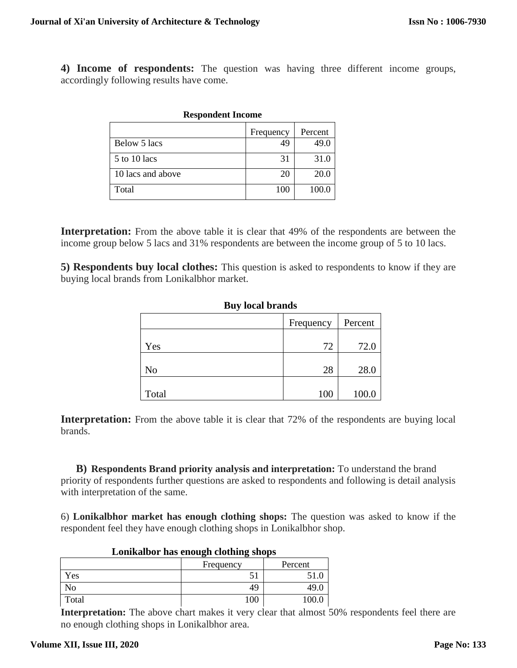**4) Income of respondents:** The question was having three different income groups, accordingly following results have come.

| <i><b>Respondent income</b></i> |           |         |
|---------------------------------|-----------|---------|
|                                 | Frequency | Percent |
| Below 5 lacs                    | 49        | 49.0    |
| 5 to 10 lacs                    | 31        | 31.0    |
| 10 lacs and above               | 20        | 20.0    |
| Total                           | 100       | 100.0   |

**Respondent Income**

# **Interpretation:** From the above table it is clear that 49% of the respondents are between the

income group below 5 lacs and 31% respondents are between the income group of 5 to 10 lacs.

**5) Respondents buy local clothes:** This question is asked to respondents to know if they are buying local brands from Lonikalbhor market.

| Duy focal di alius   |     |       |  |
|----------------------|-----|-------|--|
| Frequency<br>Percent |     |       |  |
| Yes                  | 72  | 72.0  |  |
| N <sub>o</sub>       | 28  | 28.0  |  |
| Total                | 100 | 100.0 |  |

## **Buy local brands**

**Interpretation:** From the above table it is clear that 72% of the respondents are buying local brands.

**B) Respondents Brand priority analysis and interpretation:** To understand the brand priority of respondents further questions are asked to respondents and following is detail analysis with interpretation of the same.

6) **Lonikalbhor market has enough clothing shops:** The question was asked to know if the respondent feel they have enough clothing shops in Lonikalbhor shop.

| L'UNINGHUUI HAS CHUULII CIULIIIILE SHUPS |           |         |
|------------------------------------------|-----------|---------|
|                                          | Frequency | Percent |
| Yes                                      |           |         |
| NO                                       | 49        | 49.     |
| Total                                    | .00       |         |

## **Lonikalbor has enough clothing shops**

**Interpretation:** The above chart makes it very clear that almost 50% respondents feel there are no enough clothing shops in Lonikalbhor area.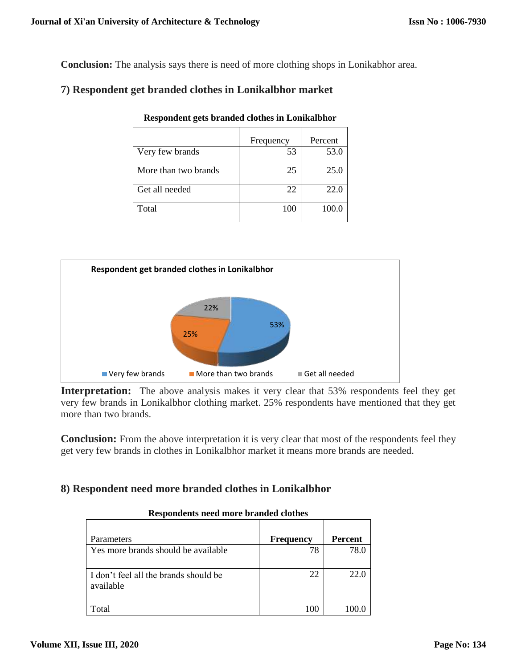**Conclusion:** The analysis says there is need of more clothing shops in Lonikabhor area.

## **7) Respondent get branded clothes in Lonikalbhor market**

|                      | Frequency | Percent |
|----------------------|-----------|---------|
| Very few brands      | 53        | 53.0    |
| More than two brands | 25        | 25.0    |
| Get all needed       | 22        | 22.0    |
| Total                | 100       | 100.0   |





**Interpretation:** The above analysis makes it very clear that 53% respondents feel they get very few brands in Lonikalbhor clothing market. 25% respondents have mentioned that they get more than two brands.

**Conclusion:** From the above interpretation it is very clear that most of the respondents feel they get very few brands in clothes in Lonikalbhor market it means more brands are needed.

## **8) Respondent need more branded clothes in Lonikalbhor**

| Parameters                                         | <b>Frequency</b> | <b>Percent</b> |
|----------------------------------------------------|------------------|----------------|
| Yes more brands should be available                | 78               | 78.0           |
| I don't feel all the brands should be<br>available | 22               | 22.0           |
| Total                                              | 100              |                |

#### **Respondents need more branded clothes**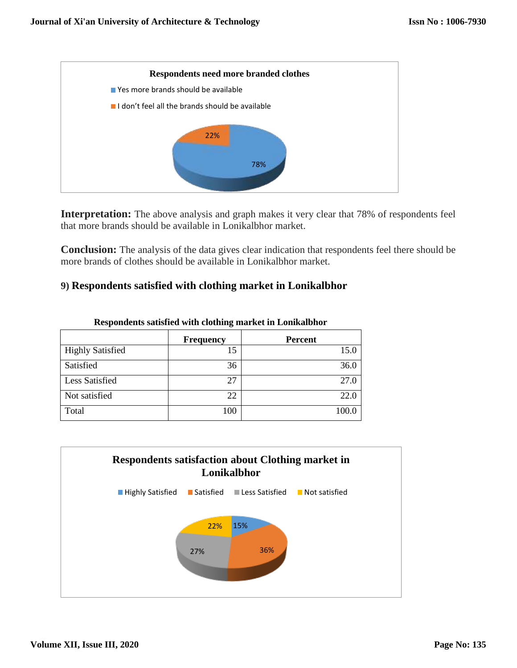

**Interpretation:** The above analysis and graph makes it very clear that 78% of respondents feel that more brands should be available in Lonikalbhor market.

**Conclusion:** The analysis of the data gives clear indication that respondents feel there should be more brands of clothes should be available in Lonikalbhor market.

## **9) Respondents satisfied with clothing market in Lonikalbhor**

|                         | <b>Frequency</b> | <b>Percent</b> |
|-------------------------|------------------|----------------|
| <b>Highly Satisfied</b> | IJ               | 15.0           |
| Satisfied               | 36               | 36.0           |
| <b>Less Satisfied</b>   | 27               | 27.0           |
| Not satisfied           | 22               | 22.0           |
| Total                   | 100              | 100.0          |

**Respondents satisfied with clothing market in Lonikalbhor**

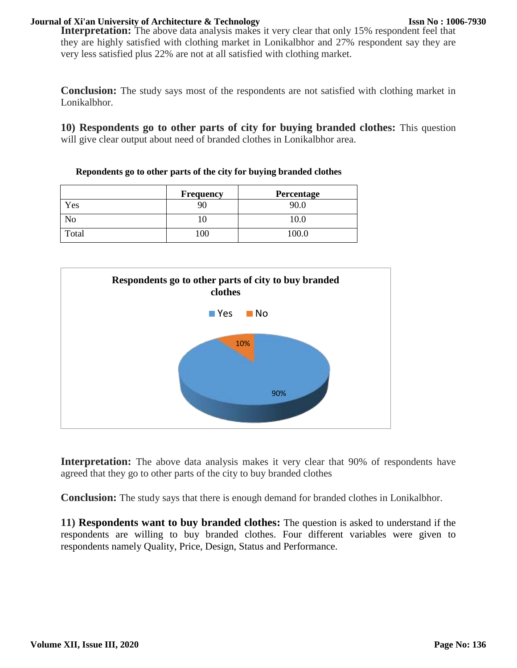#### **Journal of Xi'an University of Architecture & Technology**

Interpretation: The above data analysis makes it very clear that only 15% respondent feel that they are highly satisfied with clothing market in Lonikalbhor and 27% respondent say they are very less satisfied plus 22% are not at all satisfied with clothing market.

**Conclusion:** The study says most of the respondents are not satisfied with clothing market in Lonikalbhor.

**10) Respondents go to other parts of city for buying branded clothes:** This question will give clear output about need of branded clothes in Lonikalbhor area.

**Repondents go to other parts of the city for buying branded clothes**

|            | Frequency | Percentage |
|------------|-----------|------------|
| Yes        |           |            |
| $\sqrt{0}$ |           |            |
| Total      | 100       | 100.0      |



Interpretation: The above data analysis makes it very clear that 90% of respondents have agreed that they go to other parts of the city to buy branded clothes

**Conclusion:** The study says that there is enough demand for branded clothes in Lonikalbhor.

**11) Respondents want to buy branded clothes:** The question is asked to understand if the respondents are willing to buy branded clothes. Four different variables were given to respondents namely Quality, Price, Design, Status and Performance.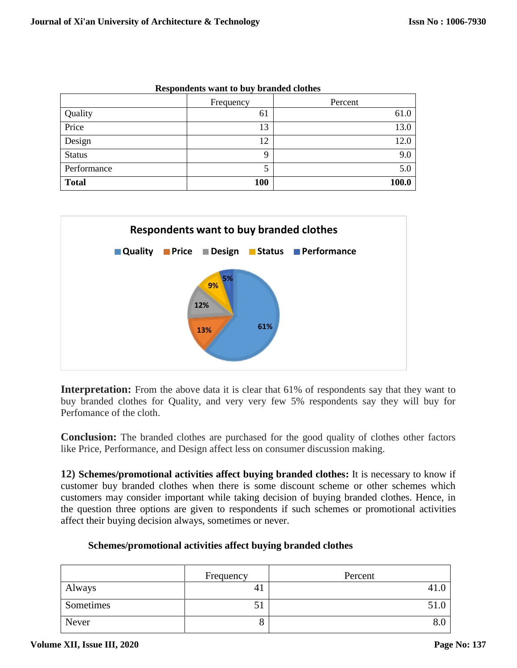|               | Frequency | Percent |
|---------------|-----------|---------|
| Quality       | 61        | 61.0    |
| Price         | 13        | 13.0    |
| Design        | 12        | 12.0    |
| <b>Status</b> | Q         | 9.0     |
| Performance   |           | 5.0     |
| <b>Total</b>  | 100       | 100.0   |

**Respondents want to buy branded clothes**



**Interpretation:** From the above data it is clear that 61% of respondents say that they want to buy branded clothes for Quality, and very very few 5% respondents say they will buy for Perfomance of the cloth.

**Conclusion:** The branded clothes are purchased for the good quality of clothes other factors like Price, Performance, and Design affect less on consumer discussion making.

**12) Schemes/promotional activities affect buying branded clothes:** It is necessary to know if customer buy branded clothes when there is some discount scheme or other schemes which customers may consider important while taking decision of buying branded clothes. Hence, in the question three options are given to respondents if such schemes or promotional activities affect their buying decision always, sometimes or never.

|           | Frequency | Percent |
|-----------|-----------|---------|
| Always    | 41        | 41.0    |
| Sometimes | 51        | 51.0    |
| Never     | О         | 8.0     |

#### **Schemes/promotional activities affect buying branded clothes**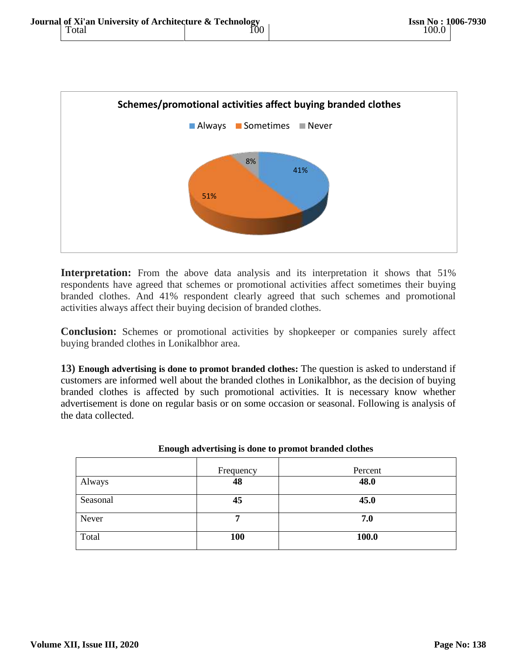

**Interpretation:** From the above data analysis and its interpretation it shows that 51% respondents have agreed that schemes or promotional activities affect sometimes their buying branded clothes. And 41% respondent clearly agreed that such schemes and promotional activities always affect their buying decision of branded clothes.

**Conclusion:** Schemes or promotional activities by shopkeeper or companies surely affect buying branded clothes in Lonikalbhor area.

**13) Enough advertising is done to promot branded clothes:** The question is asked to understand if customers are informed well about the branded clothes in Lonikalbhor, as the decision of buying branded clothes is affected by such promotional activities. It is necessary know whether advertisement is done on regular basis or on some occasion or seasonal. Following is analysis of the data collected.

|          | Frequency | Percent |  |
|----------|-----------|---------|--|
| Always   | 48        | 48.0    |  |
| Seasonal | 45        | 45.0    |  |
| Never    | 7         | 7.0     |  |
| Total    | 100       | 100.0   |  |

| Enough advertising is done to promot branded clothes |  |  |
|------------------------------------------------------|--|--|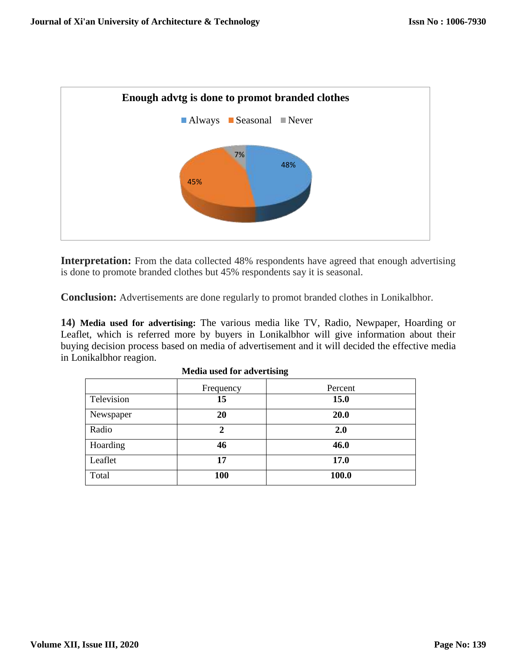

**Interpretation:** From the data collected 48% respondents have agreed that enough advertising is done to promote branded clothes but 45% respondents say it is seasonal.

**Conclusion:** Advertisements are done regularly to promot branded clothes in Lonikalbhor.

**14) Media used for advertising:** The various media like TV, Radio, Newpaper, Hoarding or Leaflet, which is referred more by buyers in Lonikalbhor will give information about their buying decision process based on media of advertisement and it will decided the effective media in Lonikalbhor reagion.

|            | Frequency   | Percent |
|------------|-------------|---------|
| Television | 15          | 15.0    |
| Newspaper  | 20          | 20.0    |
| Radio      | $\mathbf 2$ | 2.0     |
| Hoarding   | 46          | 46.0    |
| Leaflet    | 17          | 17.0    |
| Total      | 100         | 100.0   |

#### **Media used for advertising**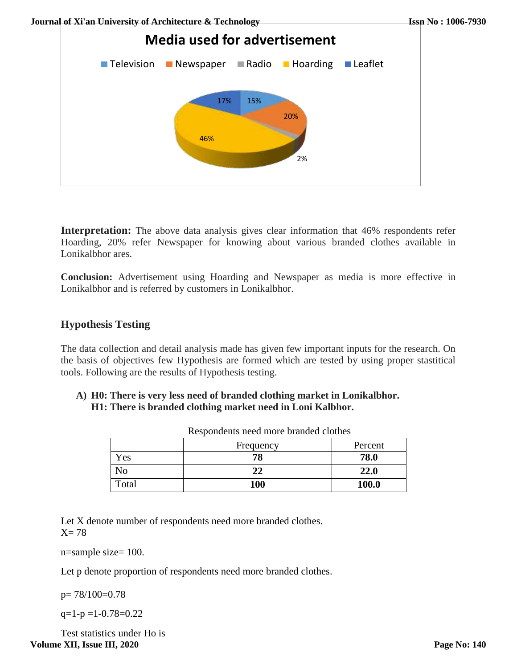

**Interpretation:** The above data analysis gives clear information that 46% respondents refer Hoarding, 20% refer Newspaper for knowing about various branded clothes available in Lonikalbhor ares.

**Conclusion:** Advertisement using Hoarding and Newspaper as media is more effective in Lonikalbhor and is referred by customers in Lonikalbhor.

## **Hypothesis Testing**

The data collection and detail analysis made has given few important inputs for the research. On the basis of objectives few Hypothesis are formed which are tested by using proper stastitical tools. Following are the results of Hypothesis testing.

**A) H0: There is very less need of branded clothing market in Lonikalbhor. H1: There is branded clothing market need in Loni Kalbhor.** 

|       | Frequency | Percent |
|-------|-----------|---------|
| Yes   | 78        | 78.0    |
| NО    | 22        | 22.0    |
| Total | 100       | 100.0   |

Respondents need more branded clothes

Let X denote number of respondents need more branded clothes.  $X= 78$ 

n=sample size= 100.

Let p denote proportion of respondents need more branded clothes.

p= 78/100=0.78

 $q=1-p=1-0.78=0.22$ 

Test statistics under Ho is **Volume XII, Issue III, 2020**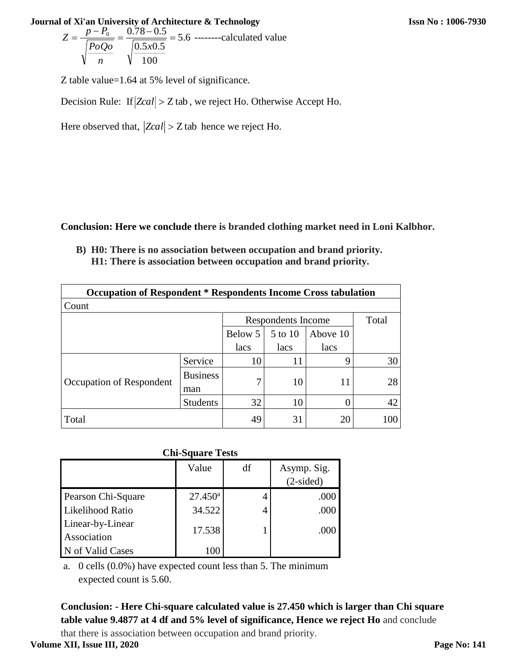$$
Z = \frac{p - P_0}{\sqrt{\frac{PoQo}{n}}} = \frac{0.78 - 0.5}{\sqrt{\frac{0.5x0.5}{100}}} = 5.6
$$
 -----calculated value

Z table value=1.64 at 5% level of significance.

Decision Rule: If  $|Zcal| > Z$  tab, we reject Ho. Otherwise Accept Ho.

Here observed that,  $|Zcal| > Z$  tab hence we reject Ho.

**Conclusion: Here we conclude there is branded clothing market need in Loni Kalbhor.**

**B) H0: There is no association between occupation and brand priority. H1: There is association between occupation and brand priority.**

| <b>Occupation of Respondent * Respondents Income Cross tabulation</b> |                        |                      |                    |          |     |  |
|-----------------------------------------------------------------------|------------------------|----------------------|--------------------|----------|-----|--|
| Count                                                                 |                        |                      |                    |          |     |  |
|                                                                       |                        |                      | Respondents Income |          |     |  |
|                                                                       |                        | Below 5              | 5 to 10            | Above 10 |     |  |
|                                                                       |                        | lacs<br>lacs<br>lacs |                    |          |     |  |
|                                                                       | Service                | 10                   | 11                 | 9        | 30  |  |
| Occupation of Respondent                                              | <b>Business</b><br>man | 7                    | 10                 | 11       | 28  |  |
|                                                                       | <b>Students</b>        | 32                   | 10                 |          | 42  |  |
| Total                                                                 |                        | 49                   | 31                 | 20       | 100 |  |

| <b>Chi-Square Tests</b>         |                  |    |                            |  |  |  |
|---------------------------------|------------------|----|----------------------------|--|--|--|
|                                 | Value            | df | Asymp. Sig.<br>$(2-sided)$ |  |  |  |
| Pearson Chi-Square              | $27.450^{\rm a}$ |    | .000                       |  |  |  |
| Likelihood Ratio                | 34.522           | 4  | .000                       |  |  |  |
| Linear-by-Linear<br>Association | 17.538           |    | .000                       |  |  |  |
| N of Valid Cases                | 100              |    |                            |  |  |  |

a. 0 cells (0.0%) have expected count less than 5. The minimum expected count is 5.60.

**Conclusion: - Here Chi-square calculated value is 27.450 which is larger than Chi square table value 9.4877 at 4 df and 5% level of significance, Hence we reject Ho** and conclude

that there is association between occupation and brand priority.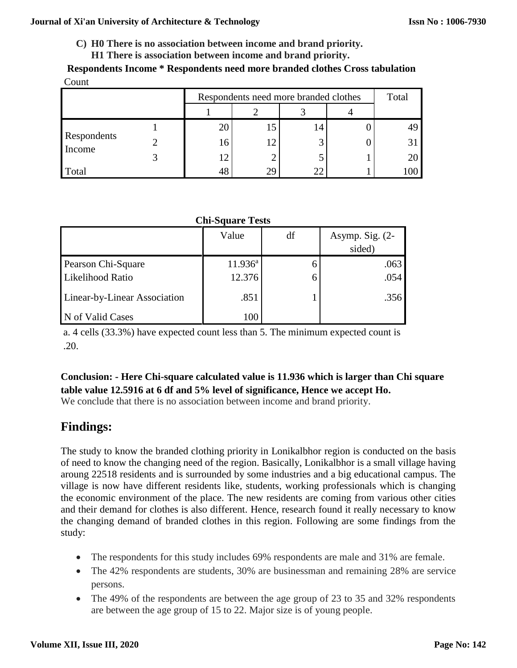- **C) H0 There is no association between income and brand priority.**
	- **H1 There is association between income and brand priority.**

**Respondents Income \* Respondents need more branded clothes Cross tabulation** Count

|             | Respondents need more branded clothes |     |  | Total |  |
|-------------|---------------------------------------|-----|--|-------|--|
|             |                                       |     |  |       |  |
|             | 20                                    |     |  |       |  |
| Respondents | 16                                    |     |  |       |  |
| Income      | 12                                    |     |  |       |  |
| Total       | 48                                    | 29. |  |       |  |

## **Chi-Square Tests**

|                              | Value               | df | Asymp. Sig. $(2-$<br>sided) |
|------------------------------|---------------------|----|-----------------------------|
| Pearson Chi-Square           | $11.936^{\text{a}}$ |    | .063                        |
| Likelihood Ratio             | 12.376              |    | .054                        |
| Linear-by-Linear Association | .851                |    | .356                        |
| N of Valid Cases             | 100                 |    |                             |

a. 4 cells (33.3%) have expected count less than 5. The minimum expected count is .20.

# **Conclusion: - Here Chi-square calculated value is 11.936 which is larger than Chi square table value 12.5916 at 6 df and 5% level of significance, Hence we accept Ho.**

We conclude that there is no association between income and brand priority.

# **Findings:**

The study to know the branded clothing priority in Lonikalbhor region is conducted on the basis of need to know the changing need of the region. Basically, Lonikalbhor is a small village having aroung 22518 residents and is surrounded by some industries and a big educational campus. The village is now have different residents like, students, working professionals which is changing the economic environment of the place. The new residents are coming from various other cities and their demand for clothes is also different. Hence, research found it really necessary to know the changing demand of branded clothes in this region. Following are some findings from the study:

- The respondents for this study includes 69% respondents are male and 31% are female.
- The 42% respondents are students, 30% are businessman and remaining 28% are service persons.
- The 49% of the respondents are between the age group of 23 to 35 and 32% respondents are between the age group of 15 to 22. Major size is of young people.